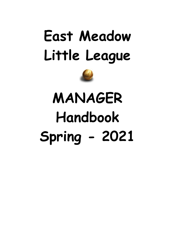# **East Meadow Little League**



# **MANAGER Handbook Spring - 2021**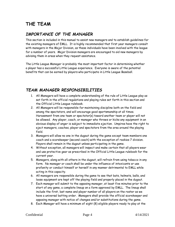# <span id="page-3-0"></span>**THE TEAM**

# <span id="page-3-1"></span>*IMPORTANCE OF THE MANAGER*

This section is included in this manual to assist new managers and to establish guidelines for the existing managers of EMLL. It is highly recommended that first year managers consult with managers in the Major Division, as these individuals have been involved with the league for a number of years. Major Division managers are encouraged to aid new managers by advising them in areas when they request assistance.

The Little League Manager is probably the most important factor in determining whether a player has a successful Little League experience. Everyone is aware of the potential benefits that can be earned by players who participate in Little League Baseball.

# <span id="page-3-2"></span>*TEAM MANAGER RESPONSIBILITIES*

- 1. All Managers will have a complete understanding of the rule of Little League play as set forth in the official regulations and playing rules set forth in this section and the Official Little League rulebook.
- 2. All Managers will be responsible for maintaining discipline both on the field and among the spectators, and will encourage good sportsmanship at all times. Harassment from one team or spectator(s) toward another team or player will not be allowed. Any player, coach, or manager who throws or kicks any equipment in an obvious display of anger is subject to immediate ejection. Umpires have the right to eject managers, coaches, player and spectators from the area around the playing field.
- 3. Managers will allow no one in the dugout during the game except team members one coach and a scorekeeper (second coach) with the exception of rookies 7 division. Players shall remain in the dugout unless participating in the game.
- 4. Without exception, all managers will inspect and make certain that all players wear and use protective gear as prescribed in the Official Little League rulebook for the current year.
- 5. Managers, along with all others in the dugout, will refrain from using tobacco in any form. No manager or coach shall be under the influence of intoxicants or use profanity or conduct himself or herself in any manner detrimental to EMLL while acting in this capacity.
- 6. All managers are responsible during the game to see that bats, helmets, balls, and loose equipment are kept off the playing field and properly placed in the dugout.
- 7. Each manager will submit to the opposing manager, at least five minutes prior to the start of any game, a complete lineup on a form approved by EMLL. The lineup shall include the first, last name and player number of all players on the roster as we have a universal batting order. Managers shall provide the official scorekeeper and opposing manager with notice of changes and/or substitutions during the game.
- 8. Each Manager will have a minimum of eight (8) eligible players ready to play at the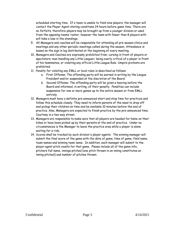scheduled starting time. If a team is unable to field nine players, the manager will contact the Player Agent stating conditions 24 hours before game time. There are no forfeits, therefore players may be brought up from a younger division or used from the opposing teams' roster, however the team with fewer than 8 players with will take a loss in the standings.

- 9. All Managers and coaches will be responsible for attending all pre-season clinics and meetings and any other periodic meetings called during the season. Attendance is based on the sign in log distributed at the beginning of every meeting.
- 10. Managers and Coaches are expressly prohibited from: cursing in front of players or spectators; man-handling any Little Leaguer; being overly critical of a player in front of his teammates, or violating any official Little League Rule. Umpire protests are prohibited.
- 11. Penalty for violating any EMLL or local rules is described as follows:
	- a. First Offense: The offending party will be warned in writing by the League President and/or suspended at the discretion of the Board.
	- b. Second Offense: The offending party will be given a hearing before the Board and informed, in writing, of their penalty. Penalties can include suspension for one or more games up to the entire season or from EMLL entirely.
- 12. Managers must have a definite pre-announced start and stop time for practices and follow this schedule closely. They need to inform parents of the need to drop off and pickup their children on time and be available 10 minutes before the end of practice. Also, Managers are expected to finish practice by the pre-announced time. Courtesy is a two-way street.
- 13. Managers are responsible to make sure that all players are headed for home on their bikes or have been picked up by their parents at the end of practice. Under no circumstances is the Manager to leave the practice area while a player is alone waiting for a ride.
- 14. Scores shall be tracked by each division's player agents. The winning manager will submit the final score of the game with the date of game, time of game, field name, team names and winning team name. In addition, each manager will submit to the player agent pitch counts for that game. Please include all of the game info, pitchers full name, innings pitched (one pitch thrown in an inning constitutes an inning pitched) and number of pitches thrown.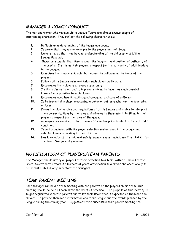# <span id="page-5-0"></span>*MANAGER & COACH CONDUCT*

The men and women who manage Little League Teams are almost always people of outstanding character. They reflect the following characteristics:

- 1. Reflects an understanding of the team's age group.
- 2. Is aware that they are an example to the players on their team.
- 3. Demonstrates that they have an understanding of the philosophy of Little League Baseball.
- 4. Shows by example, that they respect the judgment and position of authority of the umpire. Instills in their players a respect for the authority of adult leaders in the League.
- 5. Exercises their leadership role, but leaves the ballgame in the hands of the players.
- 6. Follows Little League rules and helps each player participate.
- 7. Encourages their players at every opportunity.
- 8. Instills a desire to win and to improve, striving to impart as much baseball knowledge as possible to each player.
- 9. Encourages good health habits, good grooming, and care of uniforms.
- 10. Is instrumental in shaping acceptable behavior patterns whether the team wins or loses.
- 11. Knows the playing rules and regulations of Little League and is able to interpret them correctly. Plays by the rules and adheres to their intent, instilling in their players a respect for the rules of the game.
- 12. Managers are required to be at games 30 minutes prior to start to inspect field condition.
- 13. Is well acquainted with the player selection system used in the League and selects players according to their abilities.
- 14. Has knowledge of first aid and safety. Mangers must maintain a First Aid Kit for the team. See your player agent.

# <span id="page-5-1"></span>*NOTIFICATION OF PLAYERS/TEAM PARENTS*

The Manager should notify all players of their selection to a team, within 48 hours of the Draft. Selection to a team is a moment of great anticipation to a player and occasionally to his parents. This is very important for managers.

# <span id="page-5-2"></span>*TEAM PARENT MEETING*

Each Manager will hold a team meeting with the parents of the players on his team. This meeting should be held as soon after the draft as practical. The purpose of this meeting is to get acquainted with the parents and to let them know what is expected of them and the players. To provide them with information about our League and the events planned by the League during the coming year. Suggestions for a successful team parent meeting are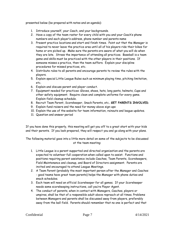presented below (be prepared with notes and an agenda):

- 1. Introduce yourself, your Coach, and your backgrounds.
- 2. Have a copy of the team roster for every child with you and your Coach's phone numbers and each player's address, phone number and parents name
- 3. Present practice locations and start and finish times. Point out that the Manager is required to never leave the practice area until all of his players ride their bikes for home or are picked up. Make sure the parents are aware of what you will do when they are late. Stress the importance of attending all practices. Baseball is a team game and skills must be practiced with the other players in their positions. If someone misses a practice, then the team suffers. Explain your discipline procedures for missed practices, etc.
- 4. Distribute rules to all parents and encourage parents to review the rules with the players.
- 5. Explain special Little League Rules such as minimum playing time, pitching limitation, etc.
- 6. Explain and discuss parent and player conduct.
- 7. Equipment needed for practices: Gloves, shoes, hats, long pants, helmets, Cups and other safety equipment. Require clean and complete uniforms for every game. Explain field cleanup schedule.
- 8. Recruit Team Parent, Scorekeeper, Snack Parents, etc.. **GET PARENTS INVOLVED**.
- 9. Explain fund-raisers and the need for money above sign-ups
- 10. Explain the use of the website for team information, rainouts and league updates.
- 11. Question and answer period

If you have done this properly, this meeting will get you off to a great start with your kids and their parents. If you look prepared, they will respect you and go along with your plans.

The following material goes into a little more detail on some of the subjects to be discussed at the team meeting:

- 1. Little League is a parent supported and directed organization and the parents are expected to volunteer full cooperation when called upon to assist. Functions and positions requiring parent assistance include Coaches, Team Parents, Scorekeepers, Field Maintenance and cleanup, and Board of Directors assignment. Parents are invited and encouraged to attend League Meetings.
- 2. A Team Parent (probably the most important person after the Manager and Coaches - good teams have great team parents) helps the Manager with phone duties and snack schedules.
- 3. Each team will need an official Scorekeeper for all games. If your Scorekeeper needs some scorekeeping instructions, call you're Player Agent.
- 4. The conduct of parents, when in contact with Managers, Coaches, players or umpires, shall be that of a responsible adult above reproach at all times. Problems between Managers and parents shall be discussed away from players, preferably away from the ball field. Parents should remember that no one is perfect and that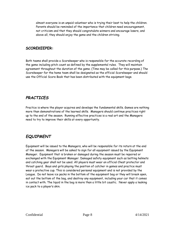almost everyone is an unpaid volunteer who is trying their best to help the children. Parents should be reminded of the importance that children need encouragement, not criticism and that they should congratulate winners and encourage losers, and above all, they should enjoy the game and the children striving.

#### <span id="page-7-0"></span>**SCOREKEEPER:**

Both teams shall provide a Scorekeeper who is responsible for the accurate recording of the game including pitch count as defined by the supplemental rules. They will maintain agreement throughout the duration of the game. (Time may be called for this purpose.) The Scorekeeper for the home team shall be designated as the official Scorekeeper and should use the Official Score Book that has been distributed with the equipment bags.

## <span id="page-7-1"></span>*PRACTICES*

Practice is where the player acquires and develops the fundamental skills. Games are nothing more than demonstrations of the learned skills. Managers should continue practices right up to the end of the season. Running effective practices is a real art and the Managers need to try to improve their skills at every opportunity.

# <span id="page-7-2"></span>*EQUIPMENT*

Equipment will be issued to the Managers, who will be responsible for its return at the end of the season. Managers will be asked to sign for all equipment issued by the Equipment Manager. Equipment that is broken or damaged during the season must be repaired or exchanged with the Equipment Manager. Damaged safety equipment such as batting helmets and catching gear shall not be used. All players must wear an official Chest protector and throat guard. Boys and girls playing the position of catcher in games and practice must wear a protective cup. This is considered personal equipment and is not provided by the League. Do not leave ice packs in the bottom of the equipment bag or they will break open, eat out the bottom of the bag, and destroy any equipment, including your car that it comes in contact with. The liquid in the bag is more than a little bit caustic. Never apply a leaking ice pack to a player's skin.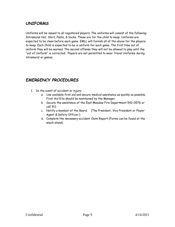# <span id="page-8-0"></span>*UNIFORMS*

Uniforms will be issued to all registered players. The uniforms will consist of the following: Intramural Hat, Shirt, Pants, & Socks. These are for the child to keep. Uniforms are expected to be clean before each game. EMLL will furnish all of the above for the players to keep. Each Child is expected to be in uniform for each game. The first time out of uniform they will be warned. The second offense they will not be allowed to play until the "out of Uniform" is corrected. Players are not permitted to wear Travel Uniforms during intramural or games.

# <span id="page-8-1"></span>*EMERGENCY PROCEDURES*

- 1. In the event of accident or injury:
	- a. Use available first aid and secure medical assistance as quickly as possible. First Aid Kits should be maintained by the Manager.
	- b. Secure the assistance of the East Meadow Fire Department 542-0576 or call 911.
	- c. Notify a member of the Board. (The President, Vice President or Player Agent & Safety Officer.)
	- d. Complete the necessary accident Claim Report (Forms can be found at the snack stand)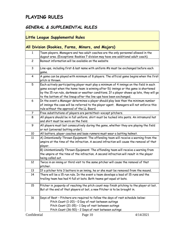# <span id="page-9-0"></span>**PLAYING RULES**

T.

# <span id="page-9-1"></span>*GENERAL & SUPPLEMENTAL RULES*

<span id="page-9-3"></span><span id="page-9-2"></span>

| Little League Supplemental Rules |                                                                                                                                                                                                                                                                                                                                                                   |  |  |
|----------------------------------|-------------------------------------------------------------------------------------------------------------------------------------------------------------------------------------------------------------------------------------------------------------------------------------------------------------------------------------------------------------------|--|--|
|                                  | All Division (Rookies, Farms, Minors, and Majors)                                                                                                                                                                                                                                                                                                                 |  |  |
| $\mathbf{1}$                     | Team players, Managers and two adult coaches are the only personnel allowed in the<br>dugout area. (Exceptions: Rookies 7 division may have one additional adult coach).                                                                                                                                                                                          |  |  |
| $\overline{c}$                   | Rainout information will be available on the website                                                                                                                                                                                                                                                                                                              |  |  |
| $\mathbf{3}$                     | Line-ups, including first & last name with uniform #s must be exchanged before each<br>game.                                                                                                                                                                                                                                                                      |  |  |
| 4                                | A game can be played with minimum of 8 players. The official game begins when the first<br>pitch is thrown.                                                                                                                                                                                                                                                       |  |  |
| 5                                | Each actively participating player must play a minimum of 4 innings on the field in each<br>game except when the home team is winning after $5\frac{1}{2}$ innings or the game is shortened<br>by the 15 run rule, darkness or weather conditions. If a player shows up late, they will go<br>to the bottom of the lineup after the line-ups have been exchanged. |  |  |
| 6                                | In the event a Manager determines a player should play less than the minimum number<br>of innings the case will be referred to the player agent. Managers will not enforce this<br>rule without the approval of the LL Board.                                                                                                                                     |  |  |
| 7                                | Free substitutions of players are permitted-except pitchers.                                                                                                                                                                                                                                                                                                      |  |  |
| 8                                | All players should be in full uniform; shirt must be tucked into pants. An intramural hat<br>and shirt must be worn on the field.                                                                                                                                                                                                                                 |  |  |
| 9                                | All players must bat consecutively during the game, whether they are playing the field<br>or not (universal batting order).                                                                                                                                                                                                                                       |  |  |
| 10                               | All batters, player coaches and base runners must wear a batting helmet.                                                                                                                                                                                                                                                                                          |  |  |
| 11                               | A) Intentionally Thrown Equipment: The offending team will receive a warning from the<br>umpire at the time of the infraction. A second infraction will cause the removal of that<br>player.                                                                                                                                                                      |  |  |
|                                  | B) Unintentionally Thrown Equipment: The offending team will receive a warning from<br>the umpire at the time of the infraction. A second infraction will result in the player<br>being called out.                                                                                                                                                               |  |  |
| 12                               | Twice in an inning or third visit to the same pitcher will cause the removal of that<br>pitcher.                                                                                                                                                                                                                                                                  |  |  |
| 13                               | If a pitcher hits 3 batters in an inning, he or she must be removed from the mound.                                                                                                                                                                                                                                                                               |  |  |
| 14                               | There will be a 15 run rule. In the event a team develops a lead of 15 runs and the<br>trailing team has had 4 full at bats. Both teams get equal at bats.                                                                                                                                                                                                        |  |  |
| 15                               | Pitcher in jeopardy of reaching the pitch count may finish pitching to the player at bat.<br>But at the end of that players at bat, a new Pitcher is to be brought in.                                                                                                                                                                                            |  |  |
| 16                               | Days of Rest - Pitchers are required to follow the days of rest schedule below:<br>Pitch Count (1-20) - 0 Day of rest between outings<br>Pitch Count (21-35) - 1 Day of rest between outings<br>Pitch Count (36-50) - 2 Days of rest between outings                                                                                                              |  |  |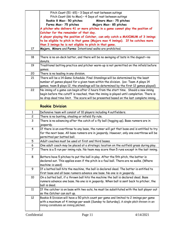<span id="page-10-0"></span>

|                | Pitch Count (51-65) - 3 Days of rest between outings                                                                            |  |  |
|----------------|---------------------------------------------------------------------------------------------------------------------------------|--|--|
|                | Pitch Count (66 to Max) - 4 Days of rest between outings                                                                        |  |  |
|                | Rookie 8 Max- 50 pitches<br>Minors Max- 75 pitches                                                                              |  |  |
|                | Farms Max- 75 pitches<br>Majors Max- 85 pitches                                                                                 |  |  |
|                | A pitcher who delivers 41 or more pitches in a game cannot play the position of                                                 |  |  |
|                | Catcher for the remainder of that day.                                                                                          |  |  |
|                | A player playing the position of Catcher, can only catch a MAXIMUM of 3 innings                                                 |  |  |
|                | to be eligible to pitch in that game (Majors max 4 innings). If he catches more                                                 |  |  |
|                | than 3 innings he is not eligible to pitch in that game.                                                                        |  |  |
| 17             | Majors, Minors and Farms: Intentional walks are prohibited.                                                                     |  |  |
|                |                                                                                                                                 |  |  |
| 18             | There is no on-deck batter, and there will be no swinging of bats in the dugout-no                                              |  |  |
|                | donuts.                                                                                                                         |  |  |
| 19             | Traditional batting practice and pitcher warm-up is not permitted on the infield before<br>games.                               |  |  |
| 20             | There is no leading in any division.                                                                                            |  |  |
| 21             | There will be a 14 Game Schedule. Final Standings will be determined by the least                                               |  |  |
|                | number of games played for a given team within the division. (ex: Team A plays 14                                               |  |  |
|                | games, team B plays 12, the standings will be determined by the first 12 games played)                                          |  |  |
| 22             | No inning of a game can begin after 2 hours from the start time. Should a new inning                                            |  |  |
|                | begin before the cutoff is reached, then the inning is played until completion. There is                                        |  |  |
|                | no drop dead time limit. The score will be presented based on the last complete inning.                                         |  |  |
|                |                                                                                                                                 |  |  |
|                | <b>Rookie Division</b>                                                                                                          |  |  |
| $\mathbf{1}$   | Defensive team will consist of 10 players including 4 outfielders.                                                              |  |  |
| $\overline{c}$ | There is no bunting, stealing or infield fly rule.                                                                              |  |  |
| $\overline{3}$ | There is no advancing after the catch of a fly ball (tagging up). Base runners are in<br>jeopardy.                              |  |  |
| 4              | If there is an overthrow to any base, the runner will get that base and is entitled to try                                      |  |  |
|                | for the next base. All base runners are in jeopardy. However, only one overthrow will be                                        |  |  |
|                | permitted per batted ball.                                                                                                      |  |  |
| 5              | Adult coaches must be used at first and third bases.                                                                            |  |  |
| 6              | One adult coach may be placed at a strategic location on the outfield grass during play.                                        |  |  |
| $\overline{7}$ | There is a 5 run per inning rule. No team may score than 5 runs except in the last inning.                                      |  |  |
| 8              | Batters have 5 pitches to put the ball in play. After the 5th pitch, the batter is                                              |  |  |
|                | declared out. This applies even if the pitch is a foul ball. There are no walks. (Where                                         |  |  |
|                | machine is used)                                                                                                                |  |  |
| 9              | If a batted ball hits the machine, the ball is declared dead. The batter is entitled to                                         |  |  |
|                | first base and all base runners advance one base. No one is in jeopardy.                                                        |  |  |
| 10             | On a batted ball, if a thrown ball hits the machine the ball is declared dead. Base                                             |  |  |
|                | runners advance one base. No one is in jeopardy. When ball is sent back to pitcher, the                                         |  |  |
|                | ball is dead.                                                                                                                   |  |  |
| 11             | If the catcher is on base with two outs, he must be substituted with the last player out                                        |  |  |
|                | so the Catcher can suit up.                                                                                                     |  |  |
|                |                                                                                                                                 |  |  |
| 12             | Rookie 8 Division will have a 50 pitch count per game and limited to 2 innings per game                                         |  |  |
|                | with a maximum of 4 innings per week (Sunday to Saturday). A single pitch thrown in an<br>inning constitutes an inning pitched. |  |  |
|                |                                                                                                                                 |  |  |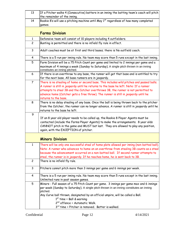<span id="page-11-1"></span><span id="page-11-0"></span>

| 13                    | If a Pitcher walks 4 (Consecutive) batters in an inning the batting team's coach will pitch                                                                                                                                                                                                                                                                                            |  |
|-----------------------|----------------------------------------------------------------------------------------------------------------------------------------------------------------------------------------------------------------------------------------------------------------------------------------------------------------------------------------------------------------------------------------|--|
|                       | the remainder of the inning.                                                                                                                                                                                                                                                                                                                                                           |  |
| 14                    | Rookie 8's will use a pitching machine until May 1st regardless of how many completed                                                                                                                                                                                                                                                                                                  |  |
|                       | games.                                                                                                                                                                                                                                                                                                                                                                                 |  |
| <b>Farms Division</b> |                                                                                                                                                                                                                                                                                                                                                                                        |  |
| $\mathbf{1}$          | Defensive team will consist of 10 players including 4 outfielders.                                                                                                                                                                                                                                                                                                                     |  |
| $\overline{c}$        | Bunting is permitted and there is no infield fly rule in effect.                                                                                                                                                                                                                                                                                                                       |  |
| $\mathsf{3}$          | Adult coaches must be at first and third bases; there is No outfield coach.                                                                                                                                                                                                                                                                                                            |  |
| 4                     | There is a 5 run per inning rule. No team may score than 5 runs except in the last inning.                                                                                                                                                                                                                                                                                             |  |
| 5                     | Farm Division will be a 75 Pitch Count per game and limited to 2 innings per game and a<br>maximum of 4 innings a week (Sunday to Saturday). A single pitch thrown in an inning<br>constitutes an inning pitched.                                                                                                                                                                      |  |
| 6                     | If there is an overthrow to any base, the runner will get that base and is entitled to try<br>for the next base. All base runners are in jeopardy.                                                                                                                                                                                                                                     |  |
| $\overline{7}$        | There is no stealing of home or second base. This includes wild pitches and passed balls.<br>A runner is still in jeopardy until he returns to the base he left. Note: If a runner<br>attempts to steal 3B and the Catcher overthrows 3B, the runner is not permitted to<br>advance home (Catcher gets a free throw). The runner is still in jeopardy until he<br>returns to the base. |  |
| 8                     | There is no delay stealing of any base. Once the ball is being thrown back to the pitcher<br>from the Catcher, the runner can no longer advance. A runner is still in jeopardy until he<br>returns to the base he left.                                                                                                                                                                |  |
| 9                     |                                                                                                                                                                                                                                                                                                                                                                                        |  |
|                       | If an 8 year old player needs to be called up, the Rookie 8 Player Agents must be                                                                                                                                                                                                                                                                                                      |  |
|                       | contacted (include the Farms Player Agents) to make the arrangements. 8 year olds                                                                                                                                                                                                                                                                                                      |  |
|                       | CANNOT pitch in the game and MUST bat last. They are allowed to play any position,                                                                                                                                                                                                                                                                                                     |  |
|                       | again, with the EXCEPTION of pitcher.                                                                                                                                                                                                                                                                                                                                                  |  |
|                       | <b>Minors Division</b>                                                                                                                                                                                                                                                                                                                                                                 |  |
| $\mathbf{1}$          | There will be only one successful steal of home plate allowed per inning (non-batted ball).<br>Note: A runner who advances to home on an overthrow from stealing 3B counts as a steal<br>because the advancement occurred on a non-batted ball. If second runner attempts to<br>steal, the runner is in jeopardy. If he reaches home, he is sent back to 3B.                           |  |
| $\overline{c}$        | There is no infield fly rule.                                                                                                                                                                                                                                                                                                                                                          |  |
| 3                     | Pitchers cannot pitch more than 3 innings per game and 6 innings per week.                                                                                                                                                                                                                                                                                                             |  |
| 4                     | There is a 5 run per inning rule. No team may score than 5 runs except in the last inning.<br>Unlimited runs in post season games.                                                                                                                                                                                                                                                     |  |
| 5                     | Minors - Full season of a 75 Pitch Count per game. 3 innings per game max and 6 innings                                                                                                                                                                                                                                                                                                |  |
|                       | per week (Sunday to Saturday). A single pitch thrown in an inning constitutes an inning<br>pitched.                                                                                                                                                                                                                                                                                    |  |
|                       | Any Curve ball thrown, designated by an official umpire, will be called a Ball.<br>$1st$ time = Ball & warning<br>2 <sup>nd</sup> offence = Automatic Walk.<br>3 <sup>rd</sup> time = Pitcher is removed. Batter is walked.                                                                                                                                                            |  |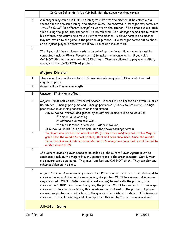<span id="page-12-1"></span><span id="page-12-0"></span>

|                | If Curve Ball is hit, it is a fair ball. But the above warnings remain.                                                                                                                                                                                                                                                                                                                                                                                                                                                                                                                                                               |
|----------------|---------------------------------------------------------------------------------------------------------------------------------------------------------------------------------------------------------------------------------------------------------------------------------------------------------------------------------------------------------------------------------------------------------------------------------------------------------------------------------------------------------------------------------------------------------------------------------------------------------------------------------------|
| 6              | A Manager may come out ONCE an inning to visit with the pitcher, if he comes out a<br>second time in the same inning, the pitcher MUST be removed. A Manager may come out<br>TWICE a GAME (in different innings) to visit with the pitcher, if he comes out a THIRD<br>time during the game, the pitcher MUST be removed. If a Manager comes out to talk to<br>his defense, this counts as a mound visit to the pitcher. A player removed as pitcher<br>may not return to the game in the position of pitcher. If a Manager comes out to check<br>on an injured player/pitcher this will NOT count as a mound visit.                  |
| 7              |                                                                                                                                                                                                                                                                                                                                                                                                                                                                                                                                                                                                                                       |
|                | If a 9 year old Farms player needs to be called up, the Farms Player Agents must be<br>contacted (include Minors Player Agents) to make the arrangements. 9 year olds<br>CANNOT pitch in the game and MUST bat last. They are allowed to play any position,<br>again, with the EXCEPTION of pitcher.                                                                                                                                                                                                                                                                                                                                  |
|                | <b>Majors Division</b>                                                                                                                                                                                                                                                                                                                                                                                                                                                                                                                                                                                                                |
| $\mathbf{1}$   | There is no limit on the number of 12 year olds who may pitch. 13 year olds are not<br>eligible to pitch.                                                                                                                                                                                                                                                                                                                                                                                                                                                                                                                             |
| $\overline{c}$ | Games will be 7 innings in length.                                                                                                                                                                                                                                                                                                                                                                                                                                                                                                                                                                                                    |
| $\mathbf{3}$   | Uncaught 3rd Strike in effect.                                                                                                                                                                                                                                                                                                                                                                                                                                                                                                                                                                                                        |
| 4              | Majors - First half of the Intramural Season, Pitchers will be limited to a Pitch Count of<br>85 pitches. 3 innings per game and 6 innings per week* (Sunday to Saturday). A single<br>pitch thrown in an inning constitutes an inning pitched.<br>Any Curve ball thrown, designated by an official umpire, will be called a Ball.<br>$1st$ time = Ball & warning<br>2 <sup>nd</sup> offence = Automatic Walk.<br>3 <sup>rd</sup> time = Pitcher is removed. Batter is walked.<br>If Curve Ball is hit, it is a fair ball. But the above warnings remain.                                                                             |
| 5              | *A player who pitches for Woodland MS (or any other MS) may not pitch a Majors<br>game once the Middle School pitching staff has been announced. Once the Middle<br>School season ends, Pitchers can pitch up to 6 innings in a game but is still limited to<br>a Pitch Count of 85.                                                                                                                                                                                                                                                                                                                                                  |
| 6              | If a Minors division player needs to be called up, the Minors Player Agents must be<br>contacted (include the Majors Player Agents) to make the arrangements. Only 11 year<br>old players can be called up. They must bat last and CANNOT pitch. They can play any<br>other position on the field.                                                                                                                                                                                                                                                                                                                                    |
| $\overline{7}$ | Majors Division: A Manager may come out ONCE an inning to visit with the pitcher, if he<br>comes out a second time in the same inning, the pitcher MUST be removed. A Manager<br>may come out TWICE a GAME (in different innings) to visit with the pitcher, if he<br>comes out a THIRD time during the game, the pitcher MUST be removed. If a Manager<br>comes out to talk to his defense, this counts as a mound visit to the pitcher. A player<br>removed as pitcher may not return to the game in the position of pitcher. If a Manager<br>comes out to check on an injured player/pitcher this will NOT count as a mound visit. |
|                | <b>All-Star Game</b>                                                                                                                                                                                                                                                                                                                                                                                                                                                                                                                                                                                                                  |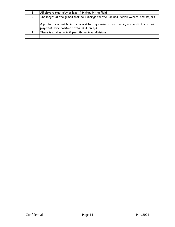| All players must play at least 4 innings in the field.                                                                               |
|--------------------------------------------------------------------------------------------------------------------------------------|
| The length of the games shall be 7 innings for the Rookies, Farms, Minors, and Majors.                                               |
| A pitcher removed from the mound for any reason other than injury, must play or has<br>played at some position a total of 4 innings. |
| There is a 1-inning limit per pitcher in all divisions.                                                                              |
|                                                                                                                                      |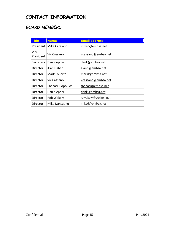# <span id="page-14-0"></span>**CONTACT INFORMATION**

# <span id="page-14-1"></span>*BOARD MEMBERS*

| <b>Title</b>      | <b>Name</b>        | <b>Email address</b> |
|-------------------|--------------------|----------------------|
| President         | Mike Catalano      | mikec@embsa.net      |
| Vice<br>President | Vic Cassano        | vcassano@embsa.net   |
| Secretary         | Dan Klepner        | dank@embsa.net       |
| Director          | Alan Haber         | alanh@embsa.net      |
| Director          | Mark LoPorto       | markl@embsa.net      |
| Director          | Vic Cassano        | vcassano@embsa.net   |
| Director          | Thanasi Iliopoulos | thanasi@embsa.net    |
| Director          | Dan Klepner        | dank@embsa.net       |
| Director          | Rob Wakely         | rewakely@verizon.net |
| Director          | Mike Dantuono      | miked@embsa.net      |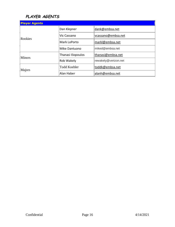# <span id="page-15-0"></span>*PLAYER AGENTS*

| <b>Player Agents</b> |                     |                      |
|----------------------|---------------------|----------------------|
|                      | Dan Klepner         | dank@embsa.net       |
| Rookies              | Vic Cassano         | vcassano@embsa.net   |
|                      | Mark LoPorto        | markl@embsa.net      |
|                      | Mike Dantuono       | miked@embsa.net      |
| <b>Minors</b>        | Thanasi Iliopoulos  | thanasi@embsa.net    |
|                      | Rob Wakely          | rewakely@verizon.net |
| Majors               | <b>Todd Koehler</b> | toddk@embsa.net      |
|                      | Alan Haber          | alanh@embsa.net      |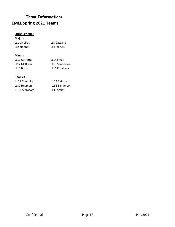# **Team Information: EMLL Spring 2021 Teams**

#### **Little League:**

#### **Majors**

| LL1 Viveiros | LL3 Cassano |
|--------------|-------------|
| LL2 Klepner  | LL4 Francis |

#### **Minors**

| LL11 Carretta | LL14 Small     |
|---------------|----------------|
| LL12 McBrien  | LL15 Sanderson |
| LL13 Brush    | LL16 Provitera |

#### **Rookies**

| LL31 Connolly | LL34 Reinhardt        |
|---------------|-----------------------|
| LL32 Heyman   | <b>LL35 Sanderson</b> |
| LL33 Morosoff | LL36 Smith            |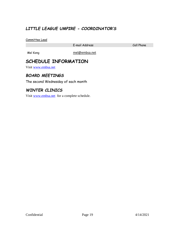# <span id="page-18-0"></span>*LITTLE LEAGUE UMPIRE - COORDINATOR'S*

Committee Lead

E-mail Address Cell Phone

<span id="page-18-1"></span>

Mel Kong mel@embsa.net

# **SCHEDULE INFORMATION**

Visit [www.embsa.net](http://www.embsa.net/) 

# <span id="page-18-2"></span>*BOARD MEETINGS*

The second Wednesday of each month

## <span id="page-18-3"></span>*WINTER CLINICS*

Visit [www.embsa.net](http://www.embsa.net/) for a complete schedule.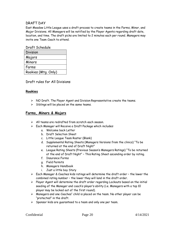#### <span id="page-19-0"></span>DRAFT DAY

East Meadow Little League uses a draft process to create teams in the Farms, Minor, and Major Divisions. All Managers will be notified by the Player Agents regarding draft date, location, and time. The draft picks are limited to 2 minutes each per round. Managers may invite one Team Coach to attend.

#### Draft Schedule

| Division            |
|---------------------|
| Majors              |
| Minors              |
| Farms               |
| Rookies (Mtg. Only) |

Draft rules for All Divisions

#### **Rookies**

- $\triangleright$  NO Draft. The Player Agent and Division Representative create the teams.
- $\triangleright$  Siblings will be placed on the same teams.

#### **Farms, Minors & Majors**

- $\triangleright$  All teams are redrafted from scratch each season.
- Each Manager will Receive a Draft Package which includes:
	- a. Welcome back Letter
	- b. Draft Selection Sheet
	- c. Little League Team Roster (Blank)
	- d. Supplemental Rating Sheets (Managers Versions from the clinics) "To be returned at the end of Draft Night"
	- e. League Rating Sheets (Previous Season's Managers Ratings) "To be returned at the end of Draft Night" – This Rating Sheet ascending order by rating.
	- f. Insurance Forms
	- g. Field Permits
	- h. Managers Handbook
	- i. Just a little boy Story
- $\triangleright$  Each Manager & Coaches kids ratings will determine the draft order the lower the combined rating number – the lower they will land in the draft order.
- $\triangleright$  Player Agent will determine the draft order regarding Lockouts based on the initial seeding of the Manager and coach's player's ability (i.e. Managers with a top 10 player may be locked out of the first round).
- $\triangleright$  Managers and one Coaches" child is placed on the team. No other player can be "protected" in the draft.
- $\triangleright$  Sponsor kids are guaranteed to a team and only one per team.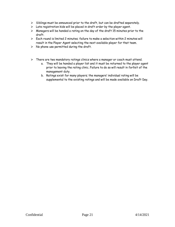- $\triangleright$  Siblings must be announced prior to the draft, but can be drafted separately.
- $\triangleright$  Late registration kids will be placed in draft order by the player agent.
- $\triangleright$  Managers will be handed a rating on the day of the draft 15 minutes prior to the draft.
- $\triangleright$  Each round is limited 2 minutes; failure to make a selection within 2 minutes will result in the Player Agent selecting the next available player for that team.
- $\triangleright$  No phone use permitted during the draft.
- $\triangleright$  There are two mandatory ratings clinics where a manager or coach must attend.
	- a. They will be handed a player list and it must be returned to the player agent prior to leaving the rating clinic. Failure to do so will result in forfeit of the management duty.
	- b. Ratings exist for many players; the managers' individual rating will be supplemental to the existing ratings and will be made available on Draft Day.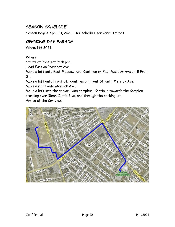# <span id="page-21-0"></span>*SEASON SCHEDULE*

Season Begins April 10, 2021 – see schedule for various times

# <span id="page-21-1"></span>*OPENING DAY PARADE*

When: NA 2021

Where:

Starts at Prospect Park pool.

Head East on Prospect Ave.

Make a left onto East Meadow Ave. Continue on East Meadow Ave until Front St.

Make a left onto Front St. Continue on Front St. until Merrick Ave. Make a right onto Merrick Ave.

Make a left into the senior living complex. Continue towards the Complex crossing over Glenn Curtis Blvd. and through the parking lot. Arrive at the Complex.

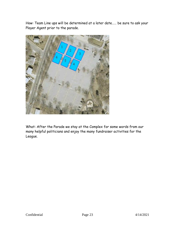How: Team Line ups will be determined at a later date…… be sure to ask your Player Agent prior to the parade.



What: After the Parade we stay at the Complex for some words from our many helpful politicians and enjoy the many fundraiser activities for the League.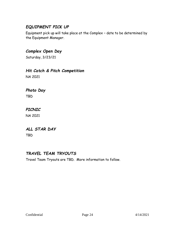# <span id="page-23-0"></span>*EQUIPMENT PICK UP*

Equipment pick up will take place at the Complex – date to be determined by the Equipment Manager.

# <span id="page-23-1"></span>*Complex Open Day*

Saturday, 3/23/21

## <span id="page-23-2"></span>*Hit Catch & Pitch Competition*

NA 2021

# <span id="page-23-3"></span>*Photo Day*

TBD

## <span id="page-23-4"></span>*PICNIC*

NA 2021

### <span id="page-23-5"></span>*ALL STAR DAY*

TBD

# <span id="page-23-6"></span>*TRAVEL TEAM TRYOUTS*

Travel Team Tryouts are TBD. More information to follow.